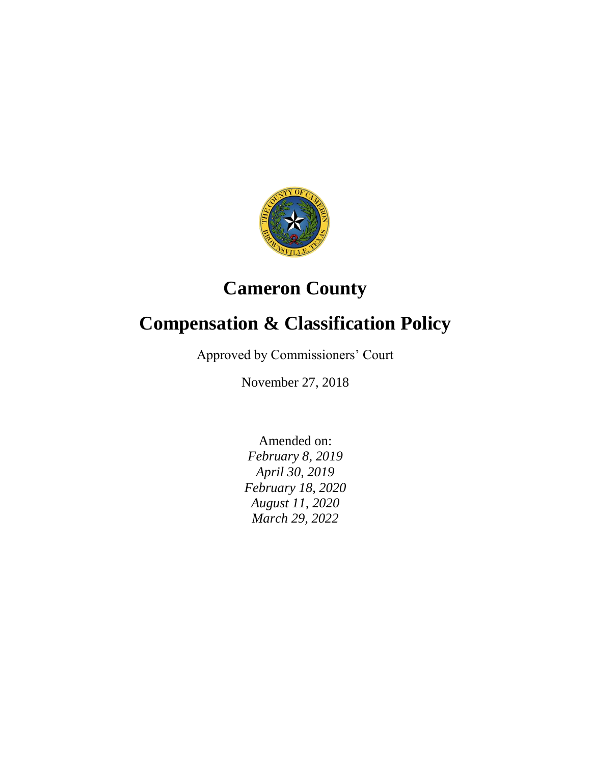

# **Cameron County**

# **Compensation & Classification Policy**

Approved by Commissioners' Court

November 27, 2018

Amended on: *February 8, 2019 April 30, 2019 February 18, 2020 August 11, 2020 March 29, 2022*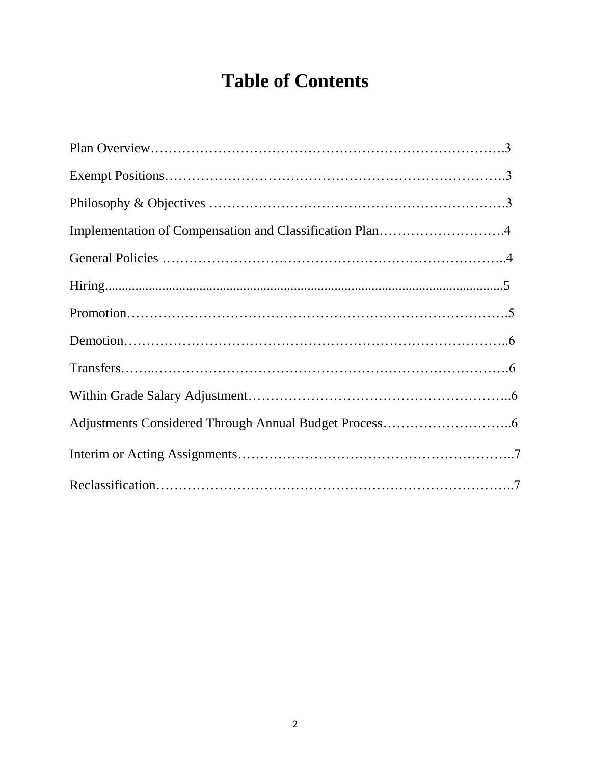# **Table of Contents**

| Implementation of Compensation and Classification Plan4 |
|---------------------------------------------------------|
|                                                         |
|                                                         |
|                                                         |
|                                                         |
|                                                         |
|                                                         |
|                                                         |
|                                                         |
|                                                         |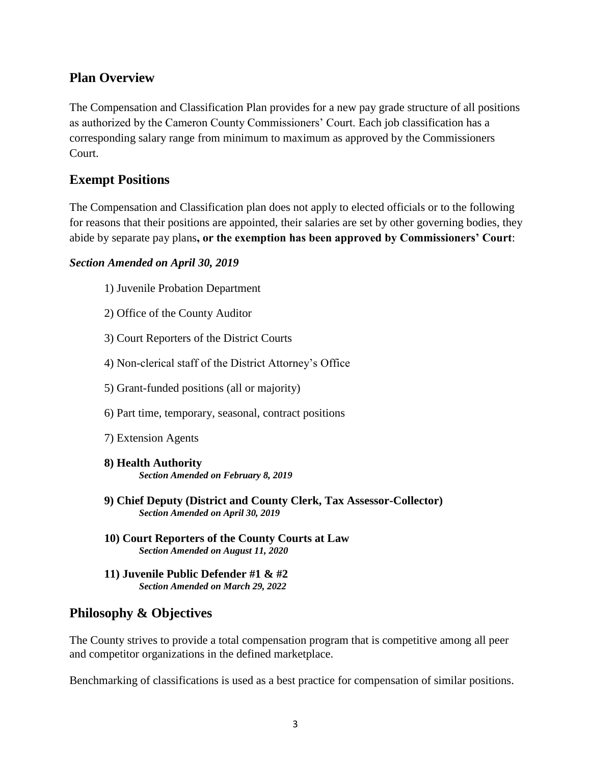#### **Plan Overview**

The Compensation and Classification Plan provides for a new pay grade structure of all positions as authorized by the Cameron County Commissioners' Court. Each job classification has a corresponding salary range from minimum to maximum as approved by the Commissioners Court.

## **Exempt Positions**

The Compensation and Classification plan does not apply to elected officials or to the following for reasons that their positions are appointed, their salaries are set by other governing bodies, they abide by separate pay plans**, or the exemption has been approved by Commissioners' Court**:

#### *Section Amended on April 30, 2019*

- 1) Juvenile Probation Department
- 2) Office of the County Auditor
- 3) Court Reporters of the District Courts
- 4) Non-clerical staff of the District Attorney's Office
- 5) Grant-funded positions (all or majority)
- 6) Part time, temporary, seasonal, contract positions
- 7) Extension Agents
- **8) Health Authority** *Section Amended on February 8, 2019*
- **9) Chief Deputy (District and County Clerk, Tax Assessor-Collector)** *Section Amended on April 30, 2019*
- **10) Court Reporters of the County Courts at Law** *Section Amended on August 11, 2020*
- **11) Juvenile Public Defender #1 & #2** *Section Amended on March 29, 2022*

## **Philosophy & Objectives**

The County strives to provide a total compensation program that is competitive among all peer and competitor organizations in the defined marketplace.

Benchmarking of classifications is used as a best practice for compensation of similar positions.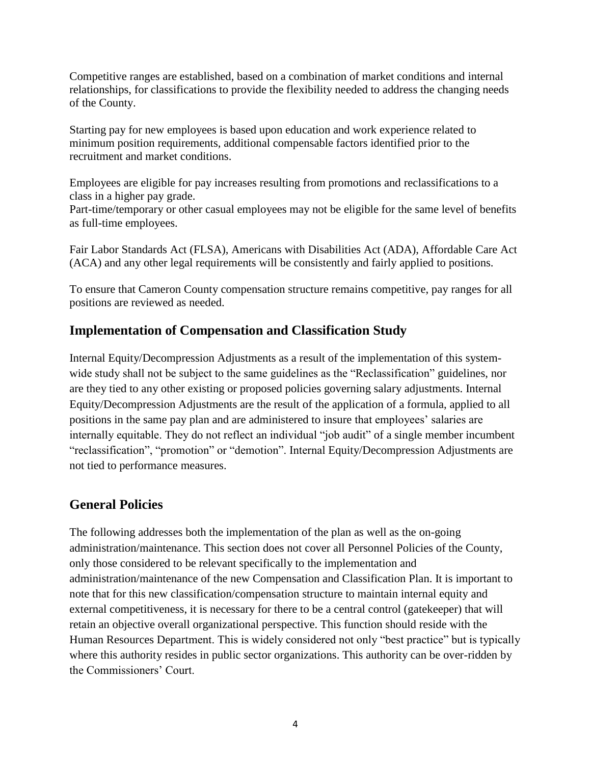Competitive ranges are established, based on a combination of market conditions and internal relationships, for classifications to provide the flexibility needed to address the changing needs of the County.

Starting pay for new employees is based upon education and work experience related to minimum position requirements, additional compensable factors identified prior to the recruitment and market conditions.

Employees are eligible for pay increases resulting from promotions and reclassifications to a class in a higher pay grade.

Part-time/temporary or other casual employees may not be eligible for the same level of benefits as full-time employees.

Fair Labor Standards Act (FLSA), Americans with Disabilities Act (ADA), Affordable Care Act (ACA) and any other legal requirements will be consistently and fairly applied to positions.

To ensure that Cameron County compensation structure remains competitive, pay ranges for all positions are reviewed as needed.

# **Implementation of Compensation and Classification Study**

Internal Equity/Decompression Adjustments as a result of the implementation of this systemwide study shall not be subject to the same guidelines as the "Reclassification" guidelines, nor are they tied to any other existing or proposed policies governing salary adjustments. Internal Equity/Decompression Adjustments are the result of the application of a formula, applied to all positions in the same pay plan and are administered to insure that employees' salaries are internally equitable. They do not reflect an individual "job audit" of a single member incumbent "reclassification", "promotion" or "demotion". Internal Equity/Decompression Adjustments are not tied to performance measures.

# **General Policies**

The following addresses both the implementation of the plan as well as the on-going administration/maintenance. This section does not cover all Personnel Policies of the County, only those considered to be relevant specifically to the implementation and administration/maintenance of the new Compensation and Classification Plan. It is important to note that for this new classification/compensation structure to maintain internal equity and external competitiveness, it is necessary for there to be a central control (gatekeeper) that will retain an objective overall organizational perspective. This function should reside with the Human Resources Department. This is widely considered not only "best practice" but is typically where this authority resides in public sector organizations. This authority can be over-ridden by the Commissioners' Court.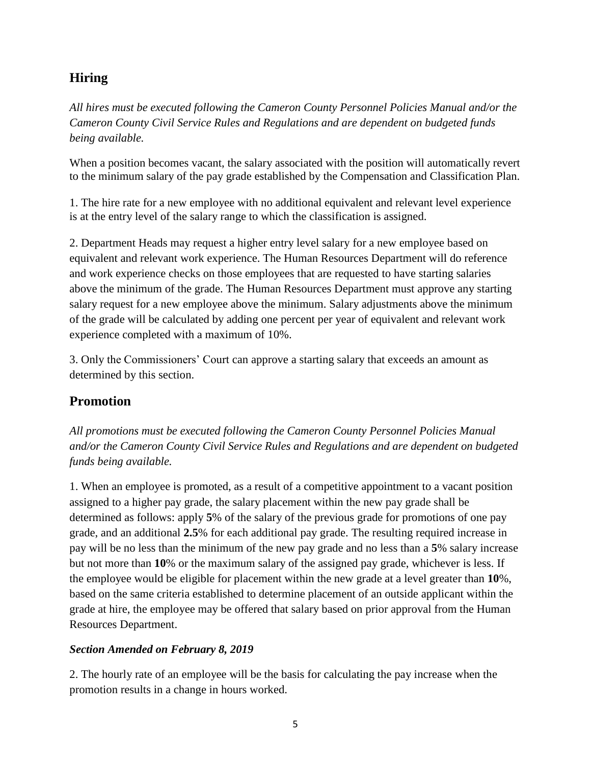## **Hiring**

*All hires must be executed following the Cameron County Personnel Policies Manual and/or the Cameron County Civil Service Rules and Regulations and are dependent on budgeted funds being available.*

When a position becomes vacant, the salary associated with the position will automatically revert to the minimum salary of the pay grade established by the Compensation and Classification Plan.

1. The hire rate for a new employee with no additional equivalent and relevant level experience is at the entry level of the salary range to which the classification is assigned.

2. Department Heads may request a higher entry level salary for a new employee based on equivalent and relevant work experience. The Human Resources Department will do reference and work experience checks on those employees that are requested to have starting salaries above the minimum of the grade. The Human Resources Department must approve any starting salary request for a new employee above the minimum. Salary adjustments above the minimum of the grade will be calculated by adding one percent per year of equivalent and relevant work experience completed with a maximum of 10%.

3. Only the Commissioners' Court can approve a starting salary that exceeds an amount as determined by this section.

## **Promotion**

*All promotions must be executed following the Cameron County Personnel Policies Manual and/or the Cameron County Civil Service Rules and Regulations and are dependent on budgeted funds being available.*

1. When an employee is promoted, as a result of a competitive appointment to a vacant position assigned to a higher pay grade, the salary placement within the new pay grade shall be determined as follows: apply **5**% of the salary of the previous grade for promotions of one pay grade, and an additional **2.5**% for each additional pay grade. The resulting required increase in pay will be no less than the minimum of the new pay grade and no less than a **5**% salary increase but not more than **10**% or the maximum salary of the assigned pay grade, whichever is less. If the employee would be eligible for placement within the new grade at a level greater than **10**%, based on the same criteria established to determine placement of an outside applicant within the grade at hire, the employee may be offered that salary based on prior approval from the Human Resources Department.

#### *Section Amended on February 8, 2019*

2. The hourly rate of an employee will be the basis for calculating the pay increase when the promotion results in a change in hours worked.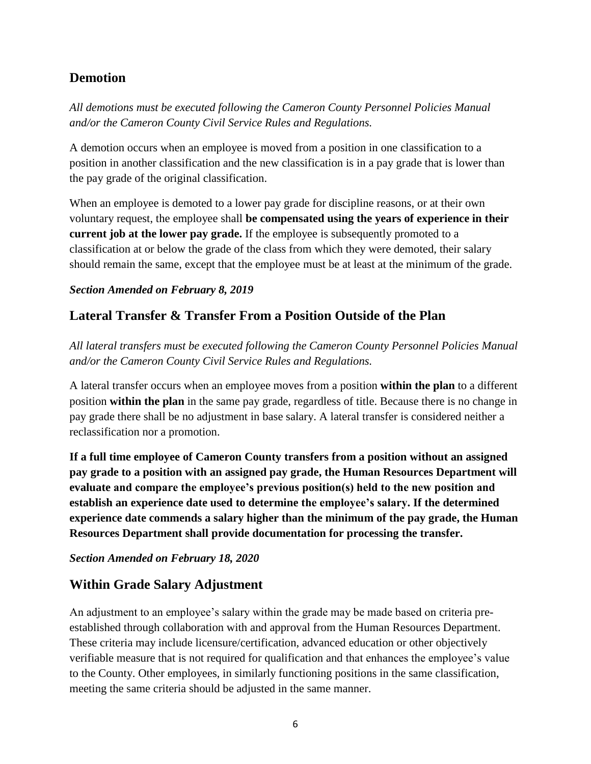## **Demotion**

*All demotions must be executed following the Cameron County Personnel Policies Manual and/or the Cameron County Civil Service Rules and Regulations.*

A demotion occurs when an employee is moved from a position in one classification to a position in another classification and the new classification is in a pay grade that is lower than the pay grade of the original classification.

When an employee is demoted to a lower pay grade for discipline reasons, or at their own voluntary request, the employee shall **be compensated using the years of experience in their current job at the lower pay grade.** If the employee is subsequently promoted to a classification at or below the grade of the class from which they were demoted, their salary should remain the same, except that the employee must be at least at the minimum of the grade.

#### *Section Amended on February 8, 2019*

## **Lateral Transfer & Transfer From a Position Outside of the Plan**

*All lateral transfers must be executed following the Cameron County Personnel Policies Manual and/or the Cameron County Civil Service Rules and Regulations.*

A lateral transfer occurs when an employee moves from a position **within the plan** to a different position **within the plan** in the same pay grade, regardless of title. Because there is no change in pay grade there shall be no adjustment in base salary. A lateral transfer is considered neither a reclassification nor a promotion.

**If a full time employee of Cameron County transfers from a position without an assigned pay grade to a position with an assigned pay grade, the Human Resources Department will evaluate and compare the employee's previous position(s) held to the new position and establish an experience date used to determine the employee's salary. If the determined experience date commends a salary higher than the minimum of the pay grade, the Human Resources Department shall provide documentation for processing the transfer.**

#### *Section Amended on February 18, 2020*

## **Within Grade Salary Adjustment**

An adjustment to an employee's salary within the grade may be made based on criteria preestablished through collaboration with and approval from the Human Resources Department. These criteria may include licensure/certification, advanced education or other objectively verifiable measure that is not required for qualification and that enhances the employee's value to the County. Other employees, in similarly functioning positions in the same classification, meeting the same criteria should be adjusted in the same manner.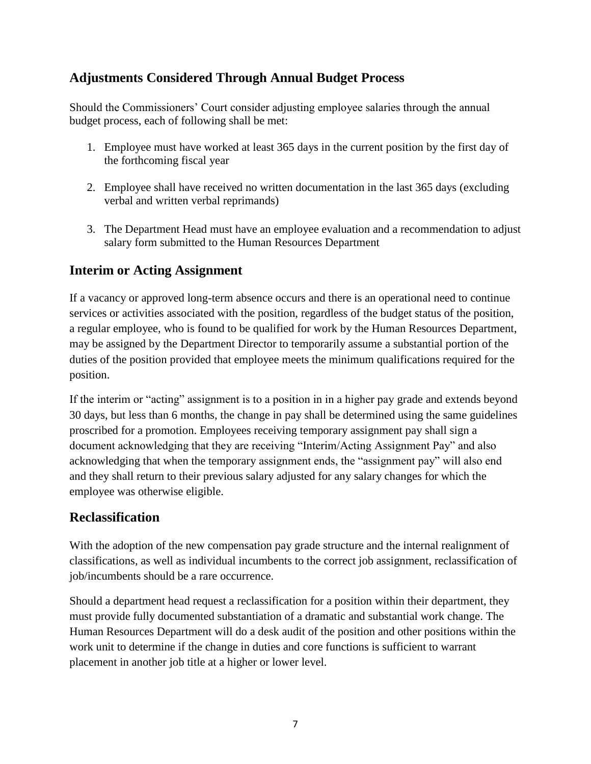## **Adjustments Considered Through Annual Budget Process**

Should the Commissioners' Court consider adjusting employee salaries through the annual budget process, each of following shall be met:

- 1. Employee must have worked at least 365 days in the current position by the first day of the forthcoming fiscal year
- 2. Employee shall have received no written documentation in the last 365 days (excluding verbal and written verbal reprimands)
- 3. The Department Head must have an employee evaluation and a recommendation to adjust salary form submitted to the Human Resources Department

## **Interim or Acting Assignment**

If a vacancy or approved long-term absence occurs and there is an operational need to continue services or activities associated with the position, regardless of the budget status of the position, a regular employee, who is found to be qualified for work by the Human Resources Department, may be assigned by the Department Director to temporarily assume a substantial portion of the duties of the position provided that employee meets the minimum qualifications required for the position.

If the interim or "acting" assignment is to a position in in a higher pay grade and extends beyond 30 days, but less than 6 months, the change in pay shall be determined using the same guidelines proscribed for a promotion. Employees receiving temporary assignment pay shall sign a document acknowledging that they are receiving "Interim/Acting Assignment Pay" and also acknowledging that when the temporary assignment ends, the "assignment pay" will also end and they shall return to their previous salary adjusted for any salary changes for which the employee was otherwise eligible.

## **Reclassification**

With the adoption of the new compensation pay grade structure and the internal realignment of classifications, as well as individual incumbents to the correct job assignment, reclassification of job/incumbents should be a rare occurrence.

Should a department head request a reclassification for a position within their department, they must provide fully documented substantiation of a dramatic and substantial work change. The Human Resources Department will do a desk audit of the position and other positions within the work unit to determine if the change in duties and core functions is sufficient to warrant placement in another job title at a higher or lower level.